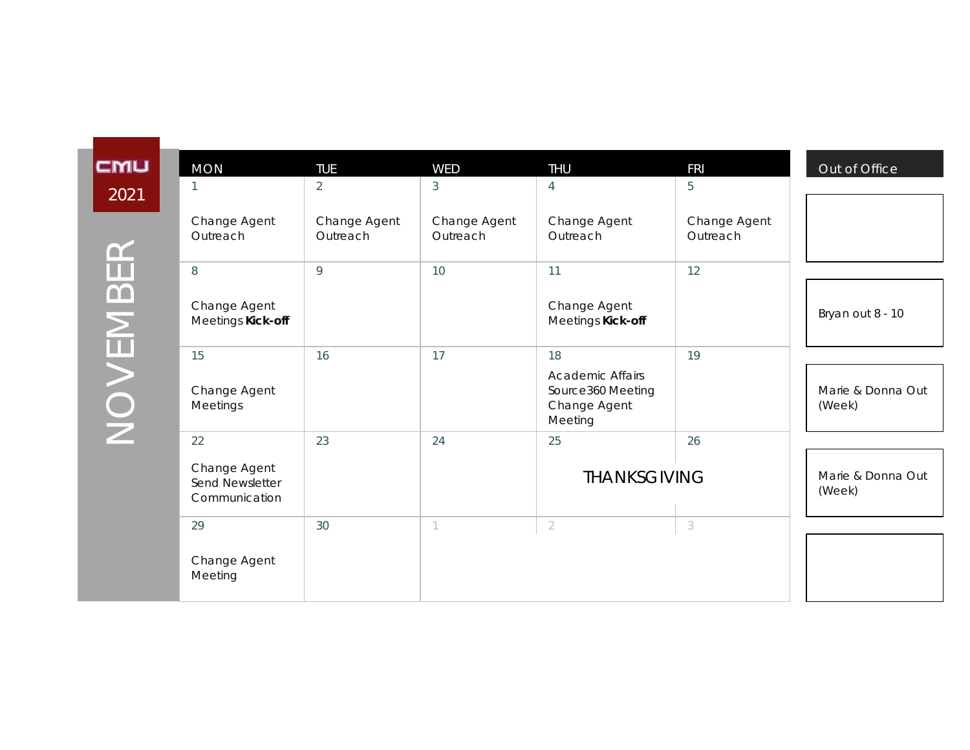| CMU      | <b>MON</b>                                       | <b>TUE</b>               | WED                      | <b>THU</b>                                                              | <b>FRI</b>               | Out of Office               |
|----------|--------------------------------------------------|--------------------------|--------------------------|-------------------------------------------------------------------------|--------------------------|-----------------------------|
| 2021     |                                                  | 2                        | 3                        | 4                                                                       | 5                        |                             |
| $\alpha$ | Change Agent<br>Outreach                         | Change Agent<br>Outreach | Change Agent<br>Outreach | Change Agent<br>Outreach                                                | Change Agent<br>Outreach |                             |
| NOVEMBE  | 8                                                | 9                        | 10                       | 11                                                                      | 12                       |                             |
|          | Change Agent<br>Meetings Kick-off                |                          |                          | Change Agent<br>Meetings Kick-off                                       |                          | Bryan out 8 - 10            |
|          | 15                                               | 16                       | 17                       | 18                                                                      | 19                       |                             |
|          | Change Agent<br>Meetings                         |                          |                          | <b>Academic Affairs</b><br>Source360 Meeting<br>Change Agent<br>Meeting |                          | Marie & Donna Out<br>(Week) |
|          | 22                                               | 23                       | 24                       | 25                                                                      | 26                       |                             |
|          | Change Agent<br>Send Newsletter<br>Communication |                          |                          | <b>THANKSGIVING</b>                                                     |                          | Marie & Donna Out<br>(Week) |
|          | 29                                               | 30                       | 1                        | $\sqrt{2}$                                                              | 3                        |                             |
|          | Change Agent<br>Meeting                          |                          |                          |                                                                         |                          |                             |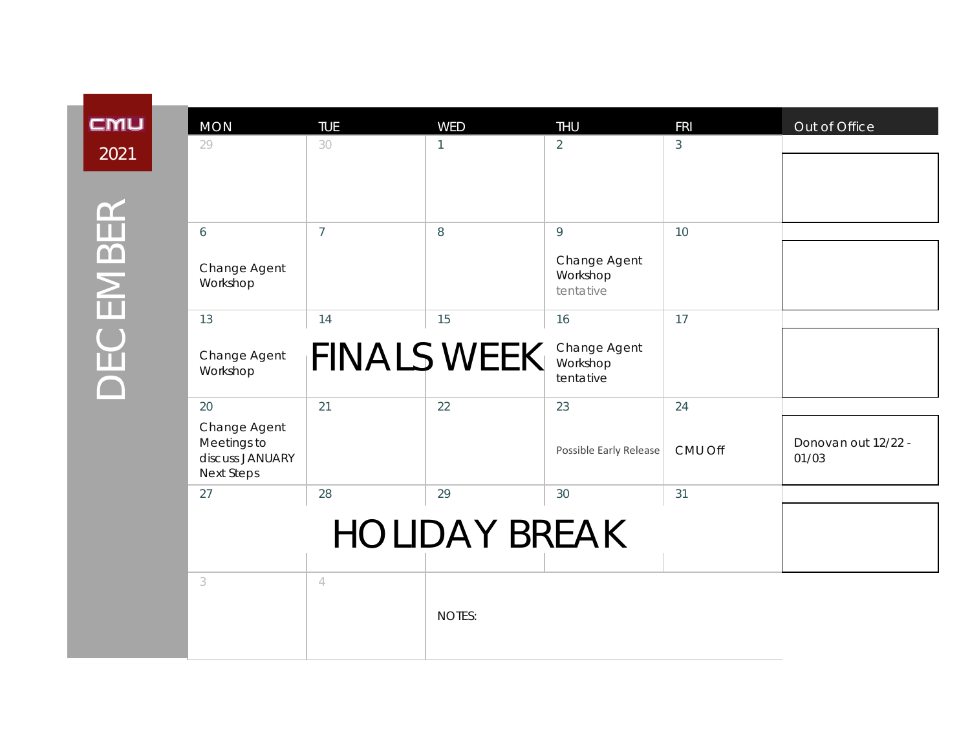| <b>MON</b><br>29                                                    | <b>TUE</b><br>30   | <b>WED</b><br>$\mathbf{1}$ | <b>THU</b><br>$\overline{2}$          | <b>FRI</b><br>$\mathfrak{Z}$ | Out of Office                |
|---------------------------------------------------------------------|--------------------|----------------------------|---------------------------------------|------------------------------|------------------------------|
|                                                                     |                    |                            |                                       |                              |                              |
|                                                                     |                    |                            |                                       |                              |                              |
| 6                                                                   | $\overline{7}$     | 8                          | 9                                     | 10                           |                              |
| Change Agent<br>Workshop                                            |                    |                            | Change Agent<br>Workshop<br>tentative |                              |                              |
| 13                                                                  | 14                 | 15                         | 16                                    | 17                           |                              |
| Change Agent<br>Workshop                                            | <b>FINALS WEEK</b> |                            | Change Agent<br>Workshop<br>tentative |                              |                              |
| 20                                                                  | 21                 | 22                         | 23                                    | 24                           |                              |
| Change Agent<br>Meetings to<br>discuss JANUARY<br><b>Next Steps</b> |                    |                            | Possible Early Release                | CMU Off                      | Donovan out 12/22 -<br>01/03 |
| 27                                                                  | 28                 | 29                         | 30                                    | 31                           |                              |
|                                                                     |                    |                            |                                       |                              |                              |
| 3                                                                   | $\overline{4}$     |                            |                                       |                              |                              |
|                                                                     |                    | <b>NOTES:</b>              |                                       |                              |                              |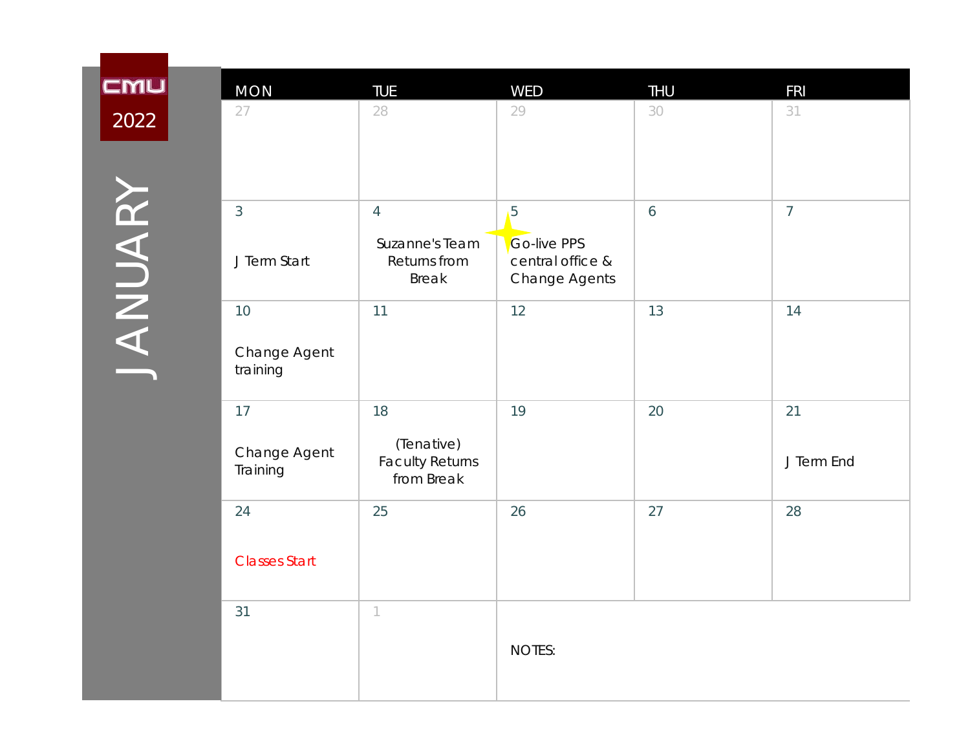## **CMU** 2022

| <b>MON</b>               | TUE                                                | <b>WED</b>                                              | THU             | <b>FRI</b>     |
|--------------------------|----------------------------------------------------|---------------------------------------------------------|-----------------|----------------|
| 27                       | 28                                                 | 29                                                      | 30              | 31             |
| $\mathfrak{Z}$           | $\overline{4}$                                     | 5                                                       | $\ddot{\theta}$ | $\overline{7}$ |
| J Term Start             | Suzanne's Team<br>Returns from<br><b>Break</b>     | <b>Go-live PPS</b><br>central office &<br>Change Agents |                 |                |
| 10                       | 11                                                 | 12                                                      | 13              | 14             |
| Change Agent<br>training |                                                    |                                                         |                 |                |
| 17                       | 18                                                 | 19                                                      | 20              | 21             |
| Change Agent<br>Training | (Tenative)<br><b>Faculty Returns</b><br>from Break |                                                         |                 | J Term End     |
| 24                       | 25                                                 | 26                                                      | 27              | 28             |
| <b>Classes Start</b>     |                                                    |                                                         |                 |                |
| 31                       | $\left\lceil \right\rceil$                         |                                                         |                 |                |
|                          |                                                    | <b>NOTES:</b>                                           |                 |                |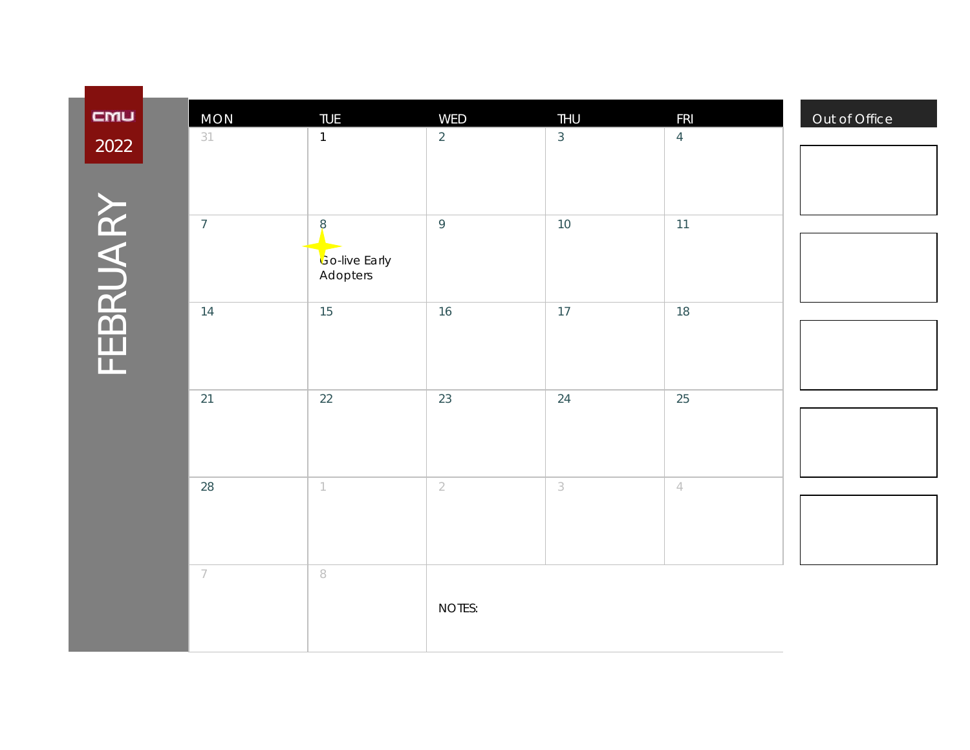| CMU      | <b>MON</b>     | <b>TUE</b>                       | WED            | <b>THU</b>                | <b>FRI</b>     |
|----------|----------------|----------------------------------|----------------|---------------------------|----------------|
| 2022     | 31             | $\mathbf{1}$                     | $\overline{2}$ | $\mathfrak{Z}$            | $\overline{4}$ |
|          |                |                                  |                |                           |                |
|          |                |                                  |                |                           |                |
|          | $\overline{7}$ | 8                                | 9              | $10$                      | 11             |
| FEBRUARY |                | <b>Go-live Early</b><br>Adopters |                |                           |                |
|          | 14             | 15                               | 16             | 17                        | 18             |
|          |                |                                  |                |                           |                |
|          |                |                                  |                |                           |                |
|          | 21             | 22                               | 23             | 24                        | 25             |
|          |                |                                  |                |                           |                |
|          |                |                                  |                |                           |                |
|          | 28             | $\mathbbm{1}$                    | $\overline{2}$ | $\ensuremath{\mathsf{3}}$ | $\overline{4}$ |
|          |                |                                  |                |                           |                |
|          |                |                                  |                |                           |                |
|          | $\overline{7}$ | $\,$ $\,$                        |                |                           |                |
|          |                |                                  | NOTES:         |                           |                |
|          |                |                                  |                |                           |                |
|          |                |                                  |                |                           |                |